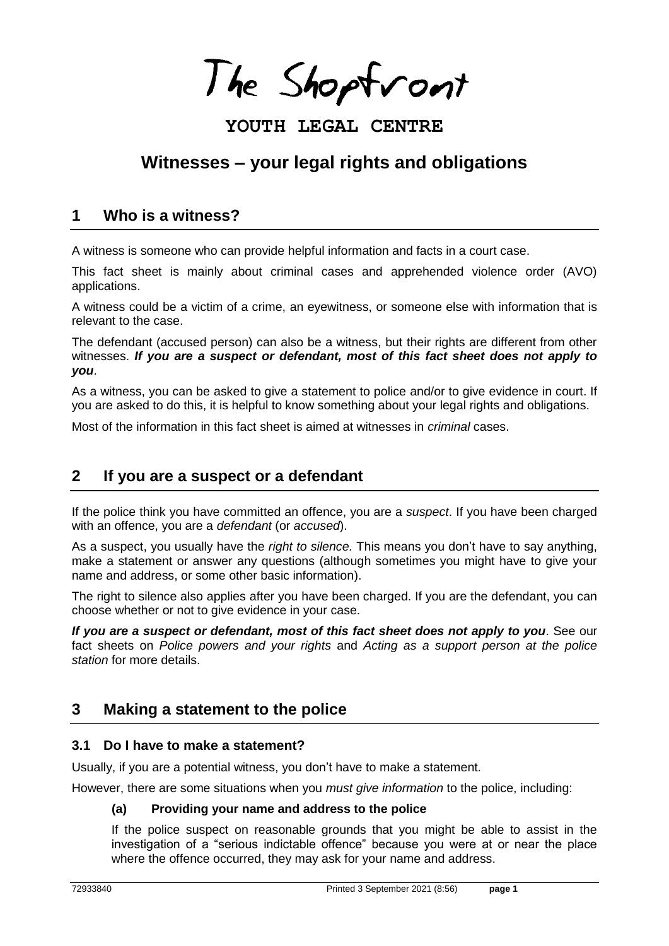The Shoptront

# **YOUTH LEGAL CENTRE**

# **Witnesses – your legal rights and obligations**

## **1 Who is a witness?**

A witness is someone who can provide helpful information and facts in a court case.

This fact sheet is mainly about criminal cases and apprehended violence order (AVO) applications.

A witness could be a victim of a crime, an eyewitness, or someone else with information that is relevant to the case.

The defendant (accused person) can also be a witness, but their rights are different from other witnesses. *If you are a suspect or defendant, most of this fact sheet does not apply to you*.

As a witness, you can be asked to give a statement to police and/or to give evidence in court. If you are asked to do this, it is helpful to know something about your legal rights and obligations.

Most of the information in this fact sheet is aimed at witnesses in *criminal* cases.

# **2 If you are a suspect or a defendant**

If the police think you have committed an offence, you are a *suspect*. If you have been charged with an offence, you are a *defendant* (or *accused*).

As a suspect, you usually have the *right to silence.* This means you don't have to say anything, make a statement or answer any questions (although sometimes you might have to give your name and address, or some other basic information).

The right to silence also applies after you have been charged. If you are the defendant, you can choose whether or not to give evidence in your case.

*If you are a suspect or defendant, most of this fact sheet does not apply to you*. See our fact sheets on *Police powers and your rights* and *Acting as a support person at the police station* for more details.

## **3 Making a statement to the police**

#### **3.1 Do I have to make a statement?**

Usually, if you are a potential witness, you don't have to make a statement.

However, there are some situations when you *must give information* to the police, including:

#### **(a) Providing your name and address to the police**

If the police suspect on reasonable grounds that you might be able to assist in the investigation of a "serious indictable offence" because you were at or near the place where the offence occurred, they may ask for your name and address.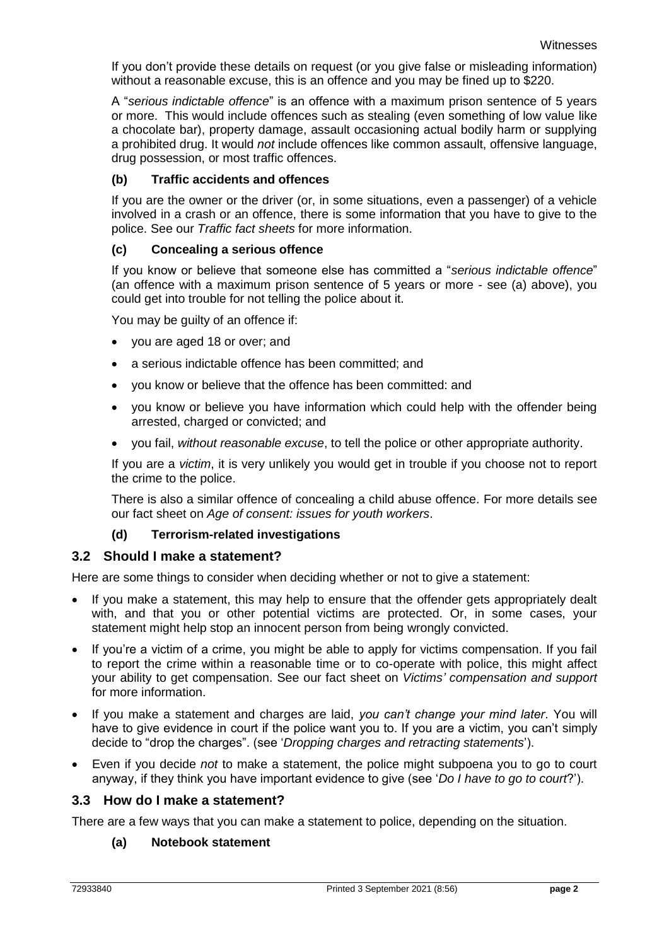If you don't provide these details on request (or you give false or misleading information) without a reasonable excuse, this is an offence and you may be fined up to \$220.

A "*serious indictable offence*" is an offence with a maximum prison sentence of 5 years or more. This would include offences such as stealing (even something of low value like a chocolate bar), property damage, assault occasioning actual bodily harm or supplying a prohibited drug. It would *not* include offences like common assault, offensive language, drug possession, or most traffic offences.

#### **(b) Traffic accidents and offences**

If you are the owner or the driver (or, in some situations, even a passenger) of a vehicle involved in a crash or an offence, there is some information that you have to give to the police. See our *Traffic fact sheets* for more information.

#### **(c) Concealing a serious offence**

If you know or believe that someone else has committed a "*serious indictable offence*" (an offence with a maximum prison sentence of 5 years or more - see (a) above), you could get into trouble for not telling the police about it.

You may be guilty of an offence if:

- you are aged 18 or over; and
- a serious indictable offence has been committed; and
- you know or believe that the offence has been committed: and
- you know or believe you have information which could help with the offender being arrested, charged or convicted; and
- you fail, *without reasonable excuse*, to tell the police or other appropriate authority.

If you are a *victim*, it is very unlikely you would get in trouble if you choose not to report the crime to the police.

There is also a similar offence of concealing a child abuse offence. For more details see our fact sheet on *Age of consent: issues for youth workers*.

#### **(d) Terrorism-related investigations**

#### **3.2 Should I make a statement?**

Here are some things to consider when deciding whether or not to give a statement:

- If you make a statement, this may help to ensure that the offender gets appropriately dealt with, and that you or other potential victims are protected. Or, in some cases, your statement might help stop an innocent person from being wrongly convicted.
- If you're a victim of a crime, you might be able to apply for victims compensation. If you fail to report the crime within a reasonable time or to co-operate with police, this might affect your ability to get compensation. See our fact sheet on *Victims' compensation and support* for more information.
- If you make a statement and charges are laid, *you can't change your mind later*. You will have to give evidence in court if the police want you to. If you are a victim, you can't simply decide to "drop the charges". (see '*Dropping charges and retracting statements*').
- Even if you decide *not* to make a statement, the police might subpoena you to go to court anyway, if they think you have important evidence to give (see '*Do I have to go to court*?').

#### **3.3 How do I make a statement?**

There are a few ways that you can make a statement to police, depending on the situation.

#### **(a) Notebook statement**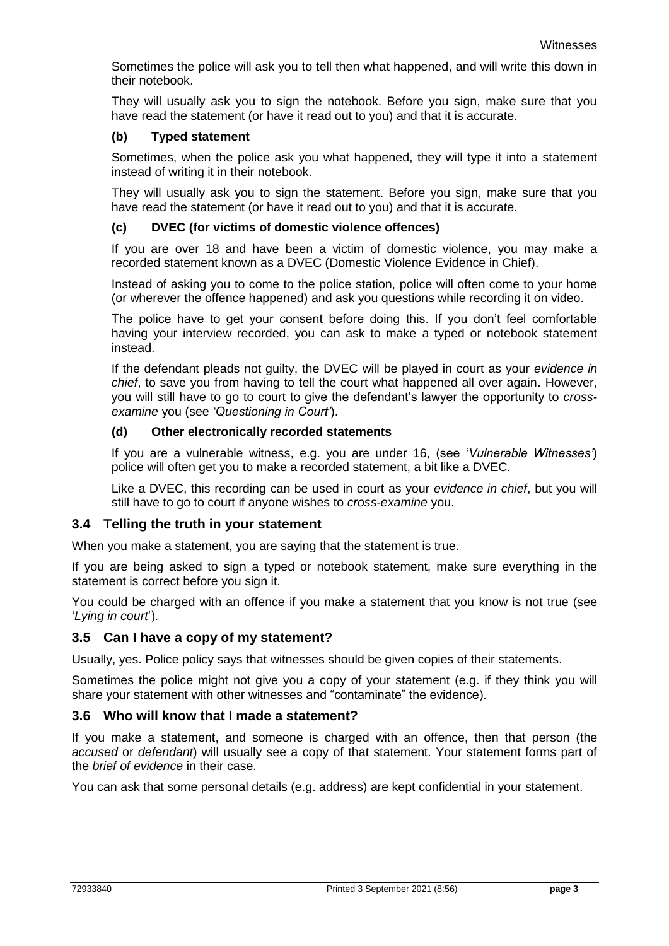Sometimes the police will ask you to tell then what happened, and will write this down in their notebook.

They will usually ask you to sign the notebook. Before you sign, make sure that you have read the statement (or have it read out to you) and that it is accurate.

#### **(b) Typed statement**

Sometimes, when the police ask you what happened, they will type it into a statement instead of writing it in their notebook.

They will usually ask you to sign the statement. Before you sign, make sure that you have read the statement (or have it read out to you) and that it is accurate.

#### **(c) DVEC (for victims of domestic violence offences)**

If you are over 18 and have been a victim of domestic violence, you may make a recorded statement known as a DVEC (Domestic Violence Evidence in Chief).

Instead of asking you to come to the police station, police will often come to your home (or wherever the offence happened) and ask you questions while recording it on video.

The police have to get your consent before doing this. If you don't feel comfortable having your interview recorded, you can ask to make a typed or notebook statement instead.

If the defendant pleads not guilty, the DVEC will be played in court as your *evidence in chief*, to save you from having to tell the court what happened all over again. However, you will still have to go to court to give the defendant's lawyer the opportunity to *crossexamine* you (see *'Questioning in Court'*).

#### **(d) Other electronically recorded statements**

If you are a vulnerable witness, e.g. you are under 16, (see '*Vulnerable Witnesses'*) police will often get you to make a recorded statement, a bit like a DVEC.

Like a DVEC, this recording can be used in court as your *evidence in chief*, but you will still have to go to court if anyone wishes to *cross-examine* you.

## **3.4 Telling the truth in your statement**

When you make a statement, you are saying that the statement is true.

If you are being asked to sign a typed or notebook statement, make sure everything in the statement is correct before you sign it.

You could be charged with an offence if you make a statement that you know is not true (see '*Lying in court*').

## **3.5 Can I have a copy of my statement?**

Usually, yes. Police policy says that witnesses should be given copies of their statements.

Sometimes the police might not give you a copy of your statement (e.g. if they think you will share your statement with other witnesses and "contaminate" the evidence).

## **3.6 Who will know that I made a statement?**

If you make a statement, and someone is charged with an offence, then that person (the *accused* or *defendant*) will usually see a copy of that statement. Your statement forms part of the *brief of evidence* in their case.

You can ask that some personal details (e.g. address) are kept confidential in your statement.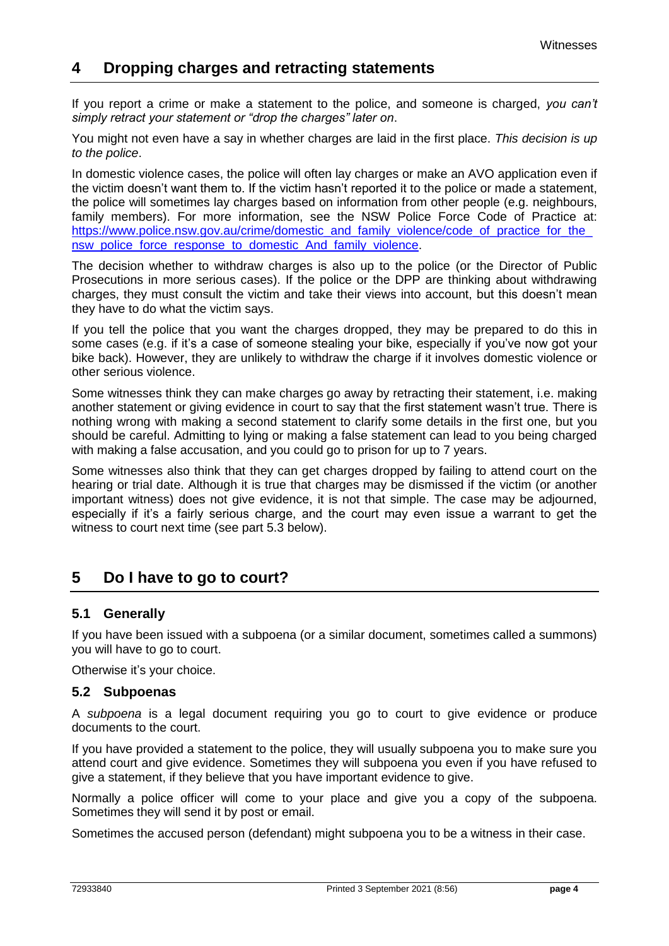## **4 Dropping charges and retracting statements**

If you report a crime or make a statement to the police, and someone is charged, *you can't simply retract your statement or "drop the charges" later on*.

You might not even have a say in whether charges are laid in the first place. *This decision is up to the police*.

In domestic violence cases, the police will often lay charges or make an AVO application even if the victim doesn't want them to. If the victim hasn't reported it to the police or made a statement, the police will sometimes lay charges based on information from other people (e.g. neighbours, family members). For more information, see the NSW Police Force Code of Practice at: https://www.police.nsw.gov.au/crime/domestic\_and\_family\_violence/code\_of\_practice\_for\_the nsw police force response to domestic And family violence.

The decision whether to withdraw charges is also up to the police (or the Director of Public Prosecutions in more serious cases). If the police or the DPP are thinking about withdrawing charges, they must consult the victim and take their views into account, but this doesn't mean they have to do what the victim says.

If you tell the police that you want the charges dropped, they may be prepared to do this in some cases (e.g. if it's a case of someone stealing your bike, especially if you've now got your bike back). However, they are unlikely to withdraw the charge if it involves domestic violence or other serious violence.

Some witnesses think they can make charges go away by retracting their statement, i.e. making another statement or giving evidence in court to say that the first statement wasn't true. There is nothing wrong with making a second statement to clarify some details in the first one, but you should be careful. Admitting to lying or making a false statement can lead to you being charged with making a false accusation, and you could go to prison for up to 7 years.

Some witnesses also think that they can get charges dropped by failing to attend court on the hearing or trial date. Although it is true that charges may be dismissed if the victim (or another important witness) does not give evidence, it is not that simple. The case may be adjourned, especially if it's a fairly serious charge, and the court may even issue a warrant to get the witness to court next time (see part 5.3 below).

# **5 Do I have to go to court?**

## **5.1 Generally**

If you have been issued with a subpoena (or a similar document, sometimes called a summons) you will have to go to court.

Otherwise it's your choice.

#### **5.2 Subpoenas**

A *subpoena* is a legal document requiring you go to court to give evidence or produce documents to the court.

If you have provided a statement to the police, they will usually subpoena you to make sure you attend court and give evidence. Sometimes they will subpoena you even if you have refused to give a statement, if they believe that you have important evidence to give.

Normally a police officer will come to your place and give you a copy of the subpoena. Sometimes they will send it by post or email.

Sometimes the accused person (defendant) might subpoena you to be a witness in their case.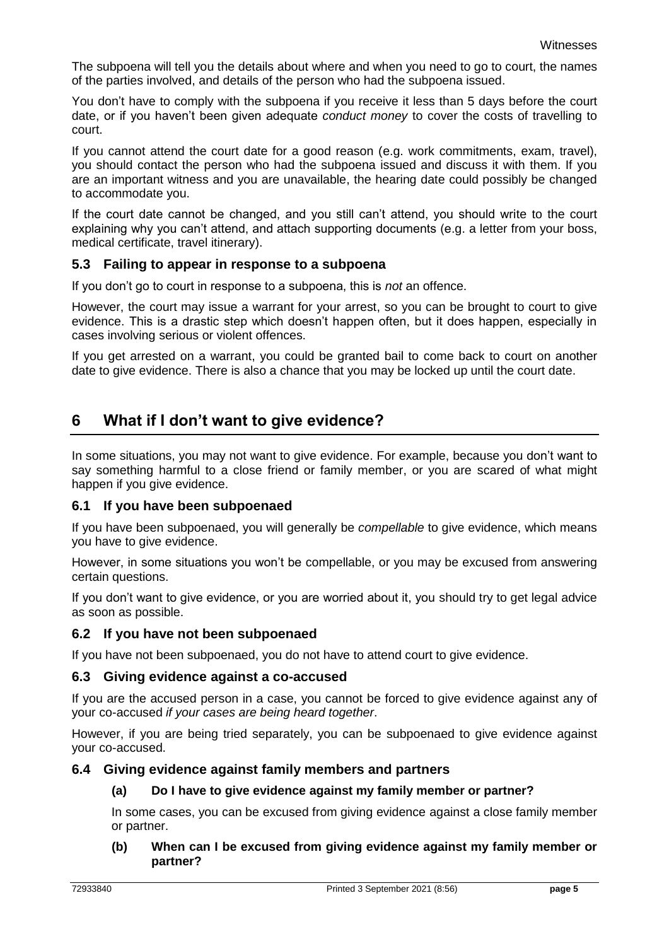The subpoena will tell you the details about where and when you need to go to court, the names of the parties involved, and details of the person who had the subpoena issued.

You don't have to comply with the subpoena if you receive it less than 5 days before the court date, or if you haven't been given adequate *conduct money* to cover the costs of travelling to court.

If you cannot attend the court date for a good reason (e.g. work commitments, exam, travel), you should contact the person who had the subpoena issued and discuss it with them. If you are an important witness and you are unavailable, the hearing date could possibly be changed to accommodate you.

If the court date cannot be changed, and you still can't attend, you should write to the court explaining why you can't attend, and attach supporting documents (e.g. a letter from your boss, medical certificate, travel itinerary).

## **5.3 Failing to appear in response to a subpoena**

If you don't go to court in response to a subpoena, this is *not* an offence.

However, the court may issue a warrant for your arrest, so you can be brought to court to give evidence. This is a drastic step which doesn't happen often, but it does happen, especially in cases involving serious or violent offences.

If you get arrested on a warrant, you could be granted bail to come back to court on another date to give evidence. There is also a chance that you may be locked up until the court date.

# **6 What if I don't want to give evidence?**

In some situations, you may not want to give evidence. For example, because you don't want to say something harmful to a close friend or family member, or you are scared of what might happen if you give evidence.

## **6.1 If you have been subpoenaed**

If you have been subpoenaed, you will generally be *compellable* to give evidence, which means you have to give evidence.

However, in some situations you won't be compellable, or you may be excused from answering certain questions.

If you don't want to give evidence, or you are worried about it, you should try to get legal advice as soon as possible.

## **6.2 If you have not been subpoenaed**

If you have not been subpoenaed, you do not have to attend court to give evidence.

## **6.3 Giving evidence against a co-accused**

If you are the accused person in a case, you cannot be forced to give evidence against any of your co-accused *if your cases are being heard together*.

However, if you are being tried separately, you can be subpoenaed to give evidence against your co-accused.

## **6.4 Giving evidence against family members and partners**

## **(a) Do I have to give evidence against my family member or partner?**

In some cases, you can be excused from giving evidence against a close family member or partner.

#### **(b) When can I be excused from giving evidence against my family member or partner?**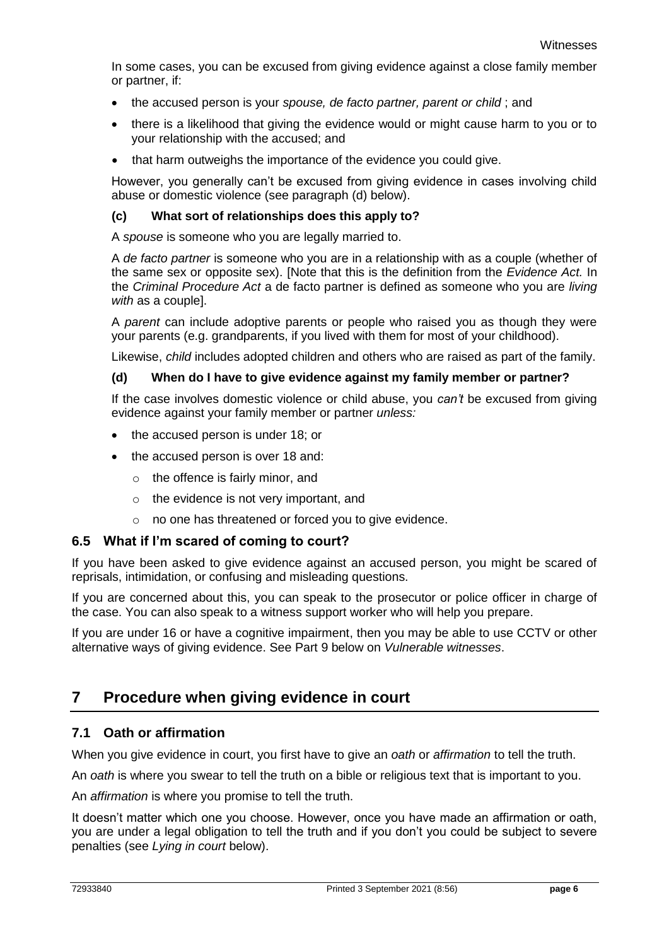In some cases, you can be excused from giving evidence against a close family member or partner, if:

- the accused person is your *spouse, de facto partner, parent or child* ; and
- there is a likelihood that giving the evidence would or might cause harm to you or to your relationship with the accused; and
- that harm outweighs the importance of the evidence you could give.

However, you generally can't be excused from giving evidence in cases involving child abuse or domestic violence (see paragraph (d) below).

#### **(c) What sort of relationships does this apply to?**

A *spouse* is someone who you are legally married to.

A *de facto partner* is someone who you are in a relationship with as a couple (whether of the same sex or opposite sex). [Note that this is the definition from the *Evidence Act.* In the *Criminal Procedure Act* a de facto partner is defined as someone who you are *living with* as a couple].

A *parent* can include adoptive parents or people who raised you as though they were your parents (e.g. grandparents, if you lived with them for most of your childhood).

Likewise, *child* includes adopted children and others who are raised as part of the family.

#### **(d) When do I have to give evidence against my family member or partner?**

If the case involves domestic violence or child abuse, you *can't* be excused from giving evidence against your family member or partner *unless:*

- the accused person is under 18; or
- the accused person is over 18 and:
	- o the offence is fairly minor, and
	- o the evidence is not very important, and
	- o no one has threatened or forced you to give evidence.

#### **6.5 What if I'm scared of coming to court?**

If you have been asked to give evidence against an accused person, you might be scared of reprisals, intimidation, or confusing and misleading questions.

If you are concerned about this, you can speak to the prosecutor or police officer in charge of the case. You can also speak to a witness support worker who will help you prepare.

If you are under 16 or have a cognitive impairment, then you may be able to use CCTV or other alternative ways of giving evidence. See Part 9 below on *Vulnerable witnesses*.

## **7 Procedure when giving evidence in court**

## **7.1 Oath or affirmation**

When you give evidence in court, you first have to give an *oath* or *affirmation* to tell the truth.

An *oath* is where you swear to tell the truth on a bible or religious text that is important to you.

An *affirmation* is where you promise to tell the truth.

It doesn't matter which one you choose. However, once you have made an affirmation or oath, you are under a legal obligation to tell the truth and if you don't you could be subject to severe penalties (see *Lying in court* below).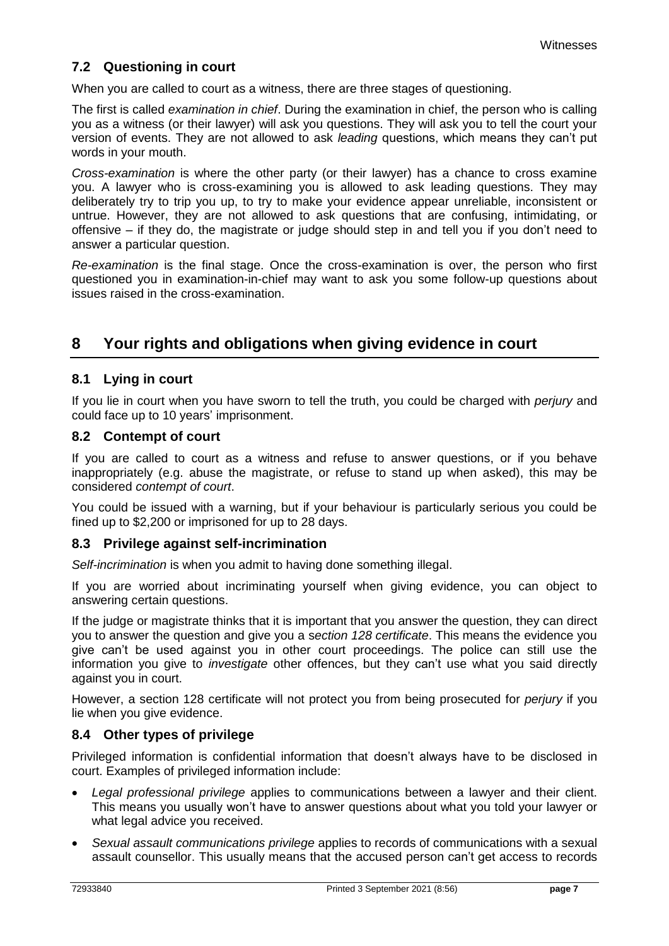## **7.2 Questioning in court**

When you are called to court as a witness, there are three stages of questioning.

The first is called *examination in chief*. During the examination in chief, the person who is calling you as a witness (or their lawyer) will ask you questions. They will ask you to tell the court your version of events. They are not allowed to ask *leading* questions, which means they can't put words in your mouth.

*Cross-examination* is where the other party (or their lawyer) has a chance to cross examine you. A lawyer who is cross-examining you is allowed to ask leading questions. They may deliberately try to trip you up, to try to make your evidence appear unreliable, inconsistent or untrue. However, they are not allowed to ask questions that are confusing, intimidating, or offensive – if they do, the magistrate or judge should step in and tell you if you don't need to answer a particular question.

*Re-examination* is the final stage. Once the cross-examination is over, the person who first questioned you in examination-in-chief may want to ask you some follow-up questions about issues raised in the cross-examination.

## **8 Your rights and obligations when giving evidence in court**

## **8.1 Lying in court**

If you lie in court when you have sworn to tell the truth, you could be charged with *perjury* and could face up to 10 years' imprisonment.

#### **8.2 Contempt of court**

If you are called to court as a witness and refuse to answer questions, or if you behave inappropriately (e.g. abuse the magistrate, or refuse to stand up when asked), this may be considered *contempt of court*.

You could be issued with a warning, but if your behaviour is particularly serious you could be fined up to \$2,200 or imprisoned for up to 28 days.

## **8.3 Privilege against self-incrimination**

*Self-incrimination* is when you admit to having done something illegal.

If you are worried about incriminating yourself when giving evidence, you can object to answering certain questions.

If the judge or magistrate thinks that it is important that you answer the question, they can direct you to answer the question and give you a s*ection 128 certificate*. This means the evidence you give can't be used against you in other court proceedings. The police can still use the information you give to *investigate* other offences, but they can't use what you said directly against you in court.

However, a section 128 certificate will not protect you from being prosecuted for *perjury* if you lie when you give evidence.

## **8.4 Other types of privilege**

Privileged information is confidential information that doesn't always have to be disclosed in court. Examples of privileged information include:

- *Legal professional privilege* applies to communications between a lawyer and their client. This means you usually won't have to answer questions about what you told your lawyer or what legal advice you received.
- *Sexual assault communications privilege* applies to records of communications with a sexual assault counsellor. This usually means that the accused person can't get access to records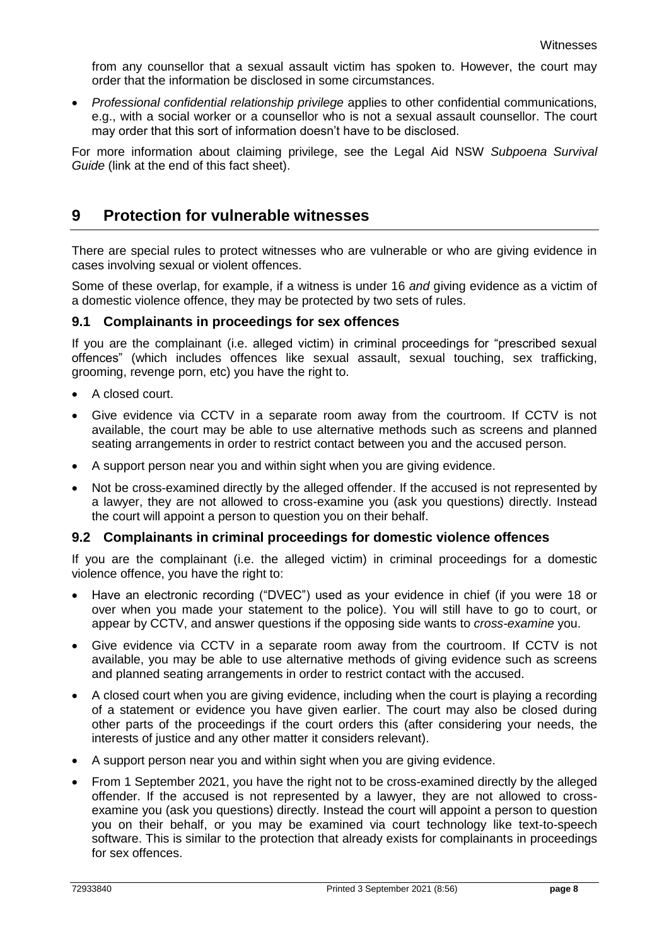from any counsellor that a sexual assault victim has spoken to. However, the court may order that the information be disclosed in some circumstances.

 *Professional confidential relationship privilege* applies to other confidential communications, e.g., with a social worker or a counsellor who is not a sexual assault counsellor. The court may order that this sort of information doesn't have to be disclosed.

For more information about claiming privilege, see the Legal Aid NSW *Subpoena Survival Guide* (link at the end of this fact sheet).

## **9 Protection for vulnerable witnesses**

There are special rules to protect witnesses who are vulnerable or who are giving evidence in cases involving sexual or violent offences.

Some of these overlap, for example, if a witness is under 16 *and* giving evidence as a victim of a domestic violence offence, they may be protected by two sets of rules.

#### **9.1 Complainants in proceedings for sex offences**

If you are the complainant (i.e. alleged victim) in criminal proceedings for "prescribed sexual offences" (which includes offences like sexual assault, sexual touching, sex trafficking, grooming, revenge porn, etc) you have the right to.

- A closed court.
- Give evidence via CCTV in a separate room away from the courtroom. If CCTV is not available, the court may be able to use alternative methods such as screens and planned seating arrangements in order to restrict contact between you and the accused person.
- A support person near you and within sight when you are giving evidence.
- Not be cross-examined directly by the alleged offender. If the accused is not represented by a lawyer, they are not allowed to cross-examine you (ask you questions) directly. Instead the court will appoint a person to question you on their behalf.

#### **9.2 Complainants in criminal proceedings for domestic violence offences**

If you are the complainant (i.e. the alleged victim) in criminal proceedings for a domestic violence offence, you have the right to:

- Have an electronic recording ("DVEC") used as your evidence in chief (if you were 18 or over when you made your statement to the police). You will still have to go to court, or appear by CCTV, and answer questions if the opposing side wants to *cross-examine* you.
- Give evidence via CCTV in a separate room away from the courtroom. If CCTV is not available, you may be able to use alternative methods of giving evidence such as screens and planned seating arrangements in order to restrict contact with the accused.
- A closed court when you are giving evidence, including when the court is playing a recording of a statement or evidence you have given earlier. The court may also be closed during other parts of the proceedings if the court orders this (after considering your needs, the interests of justice and any other matter it considers relevant).
- A support person near you and within sight when you are giving evidence.
- From 1 September 2021, you have the right not to be cross-examined directly by the alleged offender. If the accused is not represented by a lawyer, they are not allowed to crossexamine you (ask you questions) directly. Instead the court will appoint a person to question you on their behalf, or you may be examined via court technology like text-to-speech software. This is similar to the protection that already exists for complainants in proceedings for sex offences.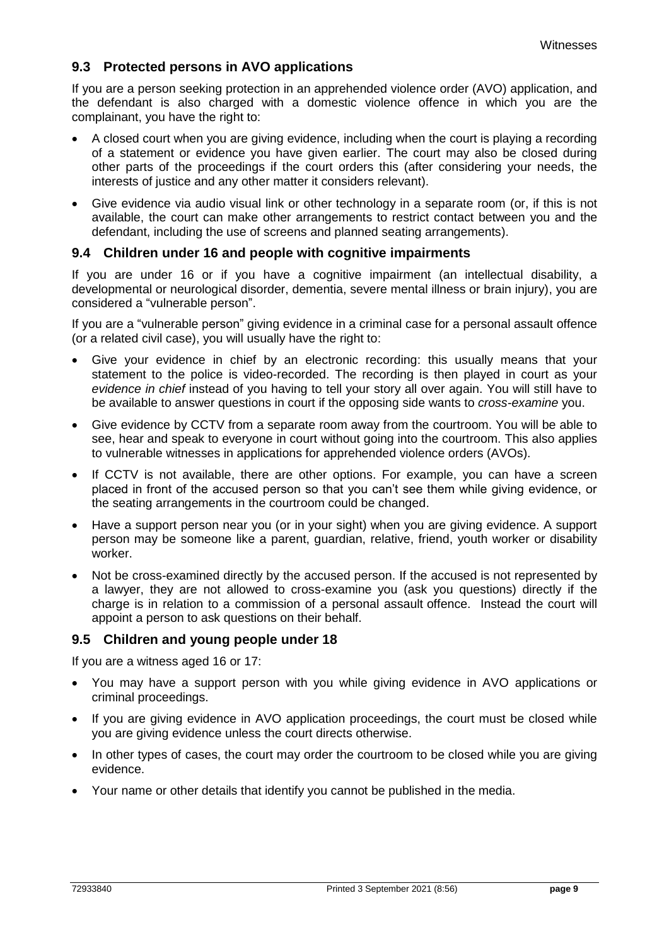## **9.3 Protected persons in AVO applications**

If you are a person seeking protection in an apprehended violence order (AVO) application, and the defendant is also charged with a domestic violence offence in which you are the complainant, you have the right to:

- A closed court when you are giving evidence, including when the court is playing a recording of a statement or evidence you have given earlier. The court may also be closed during other parts of the proceedings if the court orders this (after considering your needs, the interests of justice and any other matter it considers relevant).
- Give evidence via audio visual link or other technology in a separate room (or, if this is not available, the court can make other arrangements to restrict contact between you and the defendant, including the use of screens and planned seating arrangements).

#### **9.4 Children under 16 and people with cognitive impairments**

If you are under 16 or if you have a cognitive impairment (an intellectual disability, a developmental or neurological disorder, dementia, severe mental illness or brain injury), you are considered a "vulnerable person".

If you are a "vulnerable person" giving evidence in a criminal case for a personal assault offence (or a related civil case), you will usually have the right to:

- Give your evidence in chief by an electronic recording: this usually means that your statement to the police is video-recorded. The recording is then played in court as your *evidence in chief* instead of you having to tell your story all over again. You will still have to be available to answer questions in court if the opposing side wants to *cross-examine* you.
- Give evidence by CCTV from a separate room away from the courtroom. You will be able to see, hear and speak to everyone in court without going into the courtroom. This also applies to vulnerable witnesses in applications for apprehended violence orders (AVOs).
- If CCTV is not available, there are other options. For example, you can have a screen placed in front of the accused person so that you can't see them while giving evidence, or the seating arrangements in the courtroom could be changed.
- Have a support person near you (or in your sight) when you are giving evidence. A support person may be someone like a parent, guardian, relative, friend, youth worker or disability worker.
- Not be cross-examined directly by the accused person. If the accused is not represented by a lawyer, they are not allowed to cross-examine you (ask you questions) directly if the charge is in relation to a commission of a personal assault offence. Instead the court will appoint a person to ask questions on their behalf.

## **9.5 Children and young people under 18**

If you are a witness aged 16 or 17:

- You may have a support person with you while giving evidence in AVO applications or criminal proceedings.
- If you are giving evidence in AVO application proceedings, the court must be closed while you are giving evidence unless the court directs otherwise.
- In other types of cases, the court may order the courtroom to be closed while you are giving evidence.
- Your name or other details that identify you cannot be published in the media.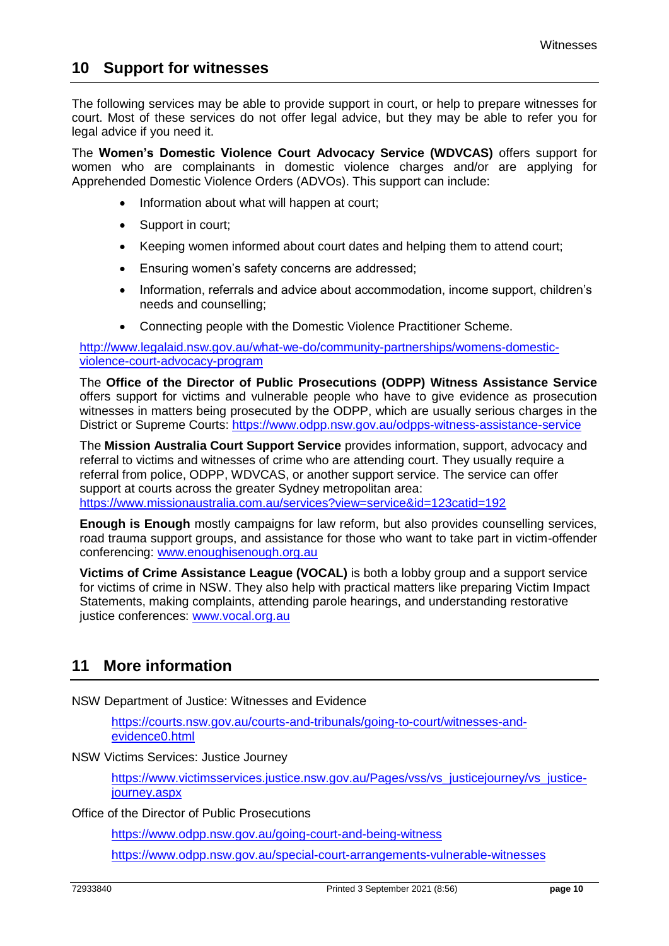## **10 Support for witnesses**

The following services may be able to provide support in court, or help to prepare witnesses for court. Most of these services do not offer legal advice, but they may be able to refer you for legal advice if you need it.

The **Women's Domestic Violence Court Advocacy Service (WDVCAS)** offers support for women who are complainants in domestic violence charges and/or are applying for Apprehended Domestic Violence Orders (ADVOs). This support can include:

- Information about what will happen at court;
- Support in court;
- Keeping women informed about court dates and helping them to attend court;
- Ensuring women's safety concerns are addressed;
- Information, referrals and advice about accommodation, income support, children's needs and counselling;
- Connecting people with the Domestic Violence Practitioner Scheme.

[http://www.legalaid.nsw.gov.au/what-we-do/community-partnerships/womens-domestic](http://www.legalaid.nsw.gov.au/what-we-do/community-partnerships/womens-domestic-violence-court-advocacy-program)[violence-court-advocacy-program](http://www.legalaid.nsw.gov.au/what-we-do/community-partnerships/womens-domestic-violence-court-advocacy-program)

The **Office of the Director of Public Prosecutions (ODPP) Witness Assistance Service** offers support for victims and vulnerable people who have to give evidence as prosecution witnesses in matters being prosecuted by the ODPP, which are usually serious charges in the District or Supreme Courts:<https://www.odpp.nsw.gov.au/odpps-witness-assistance-service>

The **Mission Australia Court Support Service** provides information, support, advocacy and referral to victims and witnesses of crime who are attending court. They usually require a referral from police, ODPP, WDVCAS, or another support service. The service can offer support at courts across the greater Sydney metropolitan area: <https://www.missionaustralia.com.au/services?view=service&id=123catid=192>

**Enough is Enough** mostly campaigns for law reform, but also provides counselling services, road trauma support groups, and assistance for those who want to take part in victim-offender conferencing: [www.enoughisenough.org.au](http://www.enoughisenough.org.au/)

**Victims of Crime Assistance League (VOCAL)** is both a lobby group and a support service for victims of crime in NSW. They also help with practical matters like preparing Victim Impact Statements, making complaints, attending parole hearings, and understanding restorative justice conferences: [www.vocal.org.au](http://www.vocal.org.au/)

# **11 More information**

NSW Department of Justice: Witnesses and Evidence

[https://courts.nsw.gov.au/courts-and-tribunals/going-to-court/witnesses-and](https://courts.nsw.gov.au/courts-and-tribunals/going-to-court/witnesses-and-evidence0.html)[evidence0.html](https://courts.nsw.gov.au/courts-and-tribunals/going-to-court/witnesses-and-evidence0.html)

NSW Victims Services: Justice Journey

[https://www.victimsservices.justice.nsw.gov.au/Pages/vss/vs\\_justicejourney/vs\\_justice](https://www.victimsservices.justice.nsw.gov.au/Pages/vss/vs_justicejourney/vs_justice-journey.aspx)[journey.aspx](https://www.victimsservices.justice.nsw.gov.au/Pages/vss/vs_justicejourney/vs_justice-journey.aspx)

Office of the Director of Public Prosecutions

<https://www.odpp.nsw.gov.au/going-court-and-being-witness>

<https://www.odpp.nsw.gov.au/special-court-arrangements-vulnerable-witnesses>